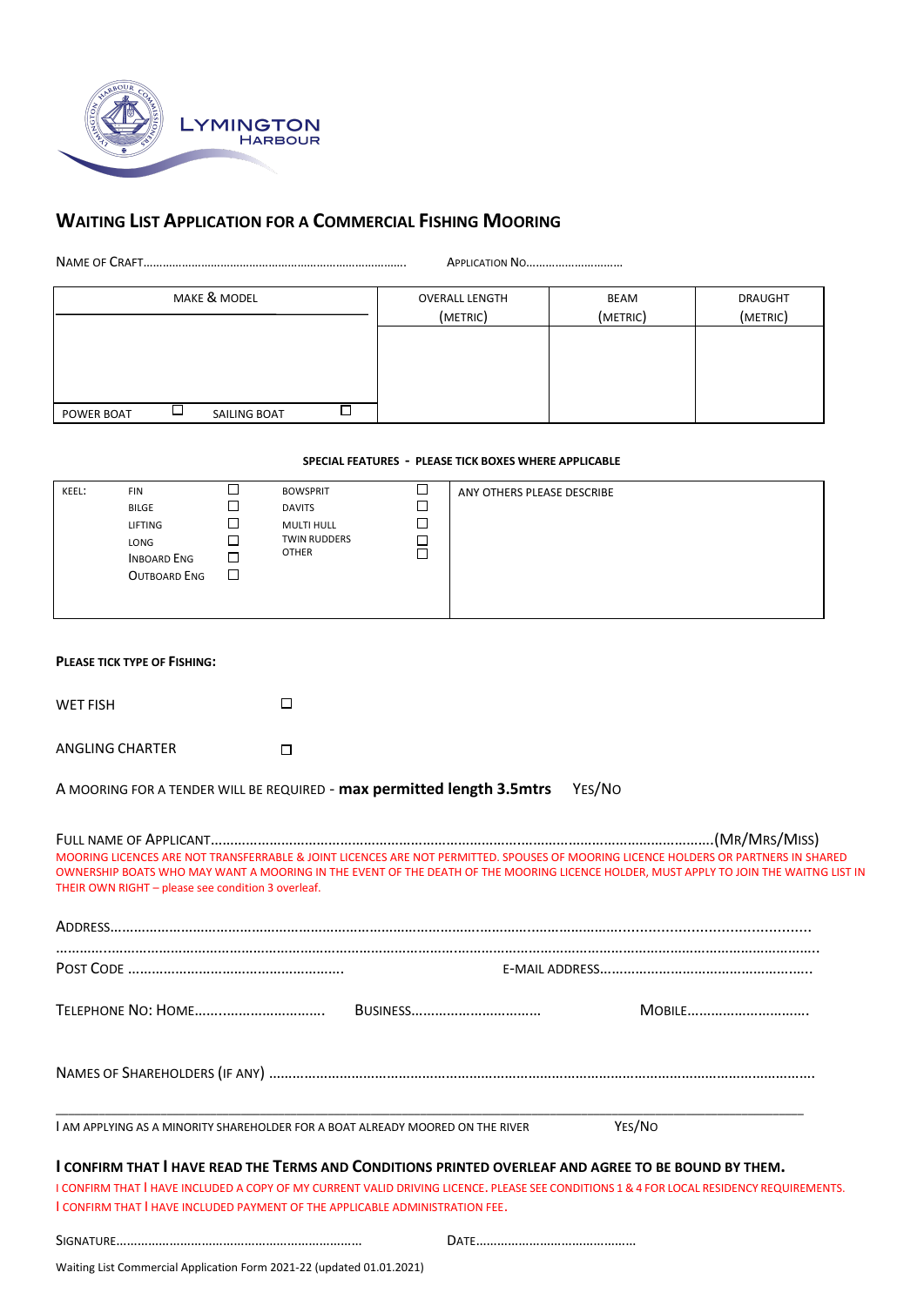

## **WAITING LIST APPLICATION FOR A COMMERCIAL FISHING MOORING**

NAME OF CRAFT………………………………………………………………………. APPLICATION NO…………………………

| MAKE & MODEL               | <b>OVERALL LENGTH</b><br>(METRIC) | BEAM<br>(METRIC) | <b>DRAUGHT</b><br>(METRIC) |
|----------------------------|-----------------------------------|------------------|----------------------------|
|                            |                                   |                  |                            |
|                            |                                   |                  |                            |
| SAILING BOAT<br>POWER BOAT |                                   |                  |                            |

## **SPECIAL FEATURES - PLEASE TICK BOXES WHERE APPLICABLE**

| KEEL: | FIN<br><b>BILGE</b><br>LIFTING<br>LONG<br><b>INBOARD ENG</b><br>OUTBOARD ENG | $\sim$<br>$\overline{\phantom{a}}$<br>□<br>L<br>$\Box$<br>$\Box$ | <b>BOWSPRIT</b><br><b>DAVITS</b><br><b>MULTI HULL</b><br>TWIN RUDDERS<br><b>OTHER</b> | $\overline{\phantom{a}}$<br>⊐<br>$\overline{\phantom{0}}$<br>⊐ | ANY OTHERS PLEASE DESCRIBE |
|-------|------------------------------------------------------------------------------|------------------------------------------------------------------|---------------------------------------------------------------------------------------|----------------------------------------------------------------|----------------------------|
|-------|------------------------------------------------------------------------------|------------------------------------------------------------------|---------------------------------------------------------------------------------------|----------------------------------------------------------------|----------------------------|

| <b>PLEASE TICK TYPE OF FISHING:</b>                |                                                                                                                                                                                                                                                                                                                                 |  |
|----------------------------------------------------|---------------------------------------------------------------------------------------------------------------------------------------------------------------------------------------------------------------------------------------------------------------------------------------------------------------------------------|--|
| <b>WET FISH</b>                                    | $\Box$                                                                                                                                                                                                                                                                                                                          |  |
| <b>ANGLING CHARTER</b>                             | П                                                                                                                                                                                                                                                                                                                               |  |
|                                                    | A MOORING FOR A TENDER WILL BE REQUIRED - max permitted length 3.5mtrs<br>YES/NO                                                                                                                                                                                                                                                |  |
| THEIR OWN RIGHT - please see condition 3 overleaf. | MOORING LICENCES ARE NOT TRANSFERRABLE & JOINT LICENCES ARE NOT PERMITTED. SPOUSES OF MOORING LICENCE HOLDERS OR PARTNERS IN SHARED<br>OWNERSHIP BOATS WHO MAY WANT A MOORING IN THE EVENT OF THE DEATH OF THE MOORING LICENCE HOLDER, MUST APPLY TO JOIN THE WAITNG LIST IN                                                    |  |
|                                                    |                                                                                                                                                                                                                                                                                                                                 |  |
|                                                    |                                                                                                                                                                                                                                                                                                                                 |  |
|                                                    |                                                                                                                                                                                                                                                                                                                                 |  |
|                                                    | MOBILE                                                                                                                                                                                                                                                                                                                          |  |
|                                                    |                                                                                                                                                                                                                                                                                                                                 |  |
|                                                    | YES/NO<br>I AM APPLYING AS A MINORITY SHAREHOLDER FOR A BOAT ALREADY MOORED ON THE RIVER                                                                                                                                                                                                                                        |  |
|                                                    | I CONFIRM THAT I HAVE READ THE TERMS AND CONDITIONS PRINTED OVERLEAF AND AGREE TO BE BOUND BY THEM.<br>I CONFIRM THAT I HAVE INCLUDED A COPY OF MY CURRENT VALID DRIVING LICENCE. PLEASE SEE CONDITIONS 1 & 4 FOR LOCAL RESIDENCY REQUIREMENTS.<br>I CONFIRM THAT I HAVE INCLUDED PAYMENT OF THE APPLICABLE ADMINISTRATION FEE. |  |

Waiting List Commercial Application Form 2021-22 (updated 01.01.2021)